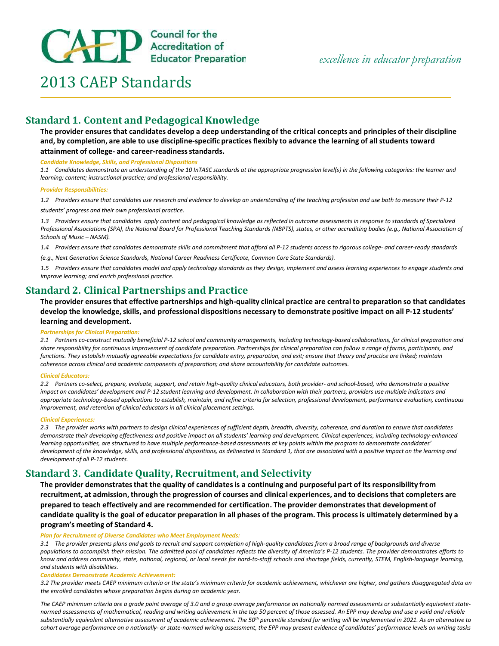

# 2013 CAEP Standards

# Standard 1. Content and Pedagogical Knowledge

The provider ensures that candidates develop a deep understanding of the critical concepts and principles of their discipline and, by completion, are able to use discipline-specific practices flexibly to advance the learning of all students toward attainment of college- and career-readiness standards.

#### Candidate Knowledge, Skills, and Professional Dispositions

1.1 Candidates demonstrate an understanding of the 10 InTASC standards at the appropriate progression level(s) in the following categories: the learner and learning; content; instructional practice; and professional responsibility.

#### Provider Responsibilities:

1.2 Providers ensure that candidates use research and evidence to develop an understanding of the teaching profession and use both to measure their P-12 students' progress and their own professional practice.

1.3 Providers ensure that candidates apply content and pedagogical knowledge as reflected in outcome assessments in response to standards of Specialized Professional Associations (SPA), the National Board for Professional Teaching Standards (NBPTS), states, or other accrediting bodies (e.g., National Association of Schools of Music – NASM).

1.4 Providers ensure that candidates demonstrate skills and commitment that afford all P-12 students access to rigorous college- and career-ready standards

(e.g., Next Generation Science Standards, National Career Readiness Certificate, Common Core State Standards).

1.5 Providers ensure that candidates model and apply technology standards as they design, implement and assess learning experiences to engage students and improve learning; and enrich professional practice.

## Standard 2. Clinical Partnerships and Practice

The provider ensures that effective partnerships and high-quality clinical practice are central to preparation so that candidates develop the knowledge, skills, and professional dispositions necessary to demonstrate positive impact on all P-12 students' learning and development.

#### Partnerships for Clinical Preparation:

2.1 Partners co-construct mutually beneficial P-12 school and community arrangements, including technology-based collaborations, for clinical preparation and share responsibility for continuous improvement of candidate preparation. Partnerships for clinical preparation can follow a range of forms, participants, and functions. They establish mutually agreeable expectations for candidate entry, preparation, and exit; ensure that theory and practice are linked; maintain coherence across clinical and academic components of preparation; and share accountability for candidate outcomes.

#### Clinical Educators:

2.2 Partners co-select, prepare, evaluate, support, and retain high-quality clinical educators, both provider- and school-based, who demonstrate a positive impact on candidates' development and P-12 student learning and development. In collaboration with their partners, providers use multiple indicators and appropriate technology-based applications to establish, maintain, and refine criteria for selection, professional development, performance evaluation, continuous improvement, and retention of clinical educators in all clinical placement settings.

#### Clinical Experiences:

2.3 The provider works with partners to design clinical experiences of sufficient depth, breadth, diversity, coherence, and duration to ensure that candidates demonstrate their developing effectiveness and positive impact on all students' learning and development. Clinical experiences, including technology-enhanced learning opportunities, are structured to have multiple performance-based assessments at key points within the program to demonstrate candidates' development of the knowledge, skills, and professional dispositions, as delineated in Standard 1, that are associated with a positive impact on the learning and development of all P-12 students.

# Standard 3. Candidate Quality, Recruitment, and Selectivity

The provider demonstrates that the quality of candidates is a continuing and purposeful part of its responsibility from recruitment, at admission, through the progression of courses and clinical experiences, and to decisions that completers are prepared to teach effectively and are recommended for certification. The provider demonstrates that development of candidate quality is the goal of educator preparation in all phases of the program. This process is ultimately determined by a program's meeting of Standard 4.

#### Plan for Recruitment of Diverse Candidates who Meet Employment Needs:

3.1 The provider presents plans and goals to recruit and support completion of high-quality candidates from a broad range of backgrounds and diverse populations to accomplish their mission. The admitted pool of candidates reflects the diversity of America's P-12 students. The provider demonstrates efforts to know and address community, state, national, regional, or local needs for hard-to-staff schools and shortage fields, currently, STEM, English-language learning, and students with disabilities.

#### Candidates Demonstrate Academic Achievement:

3.2 The provider meets CAEP minimum criteria or the state's minimum criteria for academic achievement, whichever are higher, and gathers disaggregated data on the enrolled candidates whose preparation begins during an academic year.

The CAEP minimum criteria are a grade point average of 3.0 and a group average performance on nationally normed assessments or substantially equivalent statenormed assessments of mathematical, reading and writing achievement in the top 50 percent of those assessed. An EPP may develop and use a valid and reliable substantially equivalent alternative assessment of academic achievement. The 50<sup>th</sup> percentile standard for writing will be implemented in 2021. As an alternative to cohort average performance on a nationally- or state-normed writing assessment, the EPP may present evidence of candidates' performance levels on writing tasks